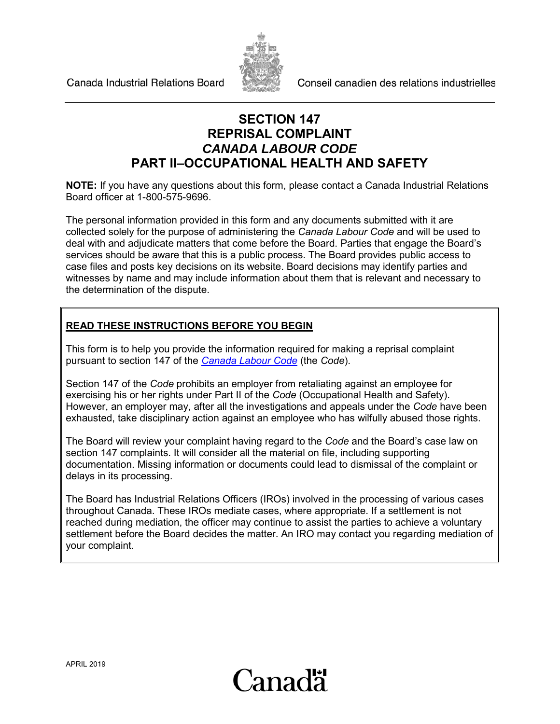Canada Industrial Relations Board



Conseil canadien des relations industrielles

### **SECTION 147 REPRISAL COMPLAINT** *CANADA LABOUR CODE* **PART II–OCCUPATIONAL HEALTH AND SAFETY**

**NOTE:** If you have any questions about this form, please contact a Canada Industrial Relations Board officer at 1-800-575-9696.

The personal information provided in this form and any documents submitted with it are collected solely for the purpose of administering the *Canada Labour Code* and will be used to deal with and adjudicate matters that come before the Board. Parties that engage the Board's services should be aware that this is a public process. The Board provides public access to case files and posts key decisions on its website. Board decisions may identify parties and witnesses by name and may include information about them that is relevant and necessary to the determination of the dispute.

### **READ THESE INSTRUCTIONS BEFORE YOU BEGIN**

This form is to help you provide the information required for making a reprisal complaint pursuant to section 147 of the *[Canada Labour Code](http://laws-lois.justice.gc.ca/eng/acts/L-2/)* (the *Code*).

Section 147 of the *Code* prohibits an employer from retaliating against an employee for exercising his or her rights under Part II of the *Code* (Occupational Health and Safety). However, an employer may, after all the investigations and appeals under the *Code* have been exhausted, take disciplinary action against an employee who has wilfully abused those rights.

The Board will review your complaint having regard to the *Code* and the Board's case law on section 147 complaints. It will consider all the material on file, including supporting documentation. Missing information or documents could lead to dismissal of the complaint or delays in its processing.

The Board has Industrial Relations Officers (IROs) involved in the processing of various cases throughout Canada. These IROs mediate cases, where appropriate. If a settlement is not reached during mediation, the officer may continue to assist the parties to achieve a voluntary settlement before the Board decides the matter. An IRO may contact you regarding mediation of your complaint.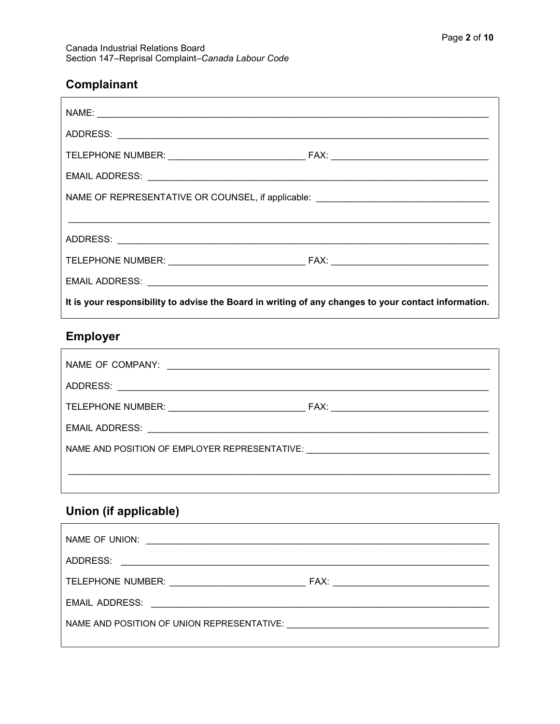## Complainant

| NAME OF REPRESENTATIVE OR COUNSEL, if applicable: ______________________________                     |  |  |
|------------------------------------------------------------------------------------------------------|--|--|
|                                                                                                      |  |  |
|                                                                                                      |  |  |
|                                                                                                      |  |  |
|                                                                                                      |  |  |
| It is your responsibility to advise the Board in writing of any changes to your contact information. |  |  |

## Employer

| NAME AND POSITION OF EMPLOYER REPRESENTATIVE: __________________________________ |  |
|----------------------------------------------------------------------------------|--|
|                                                                                  |  |
|                                                                                  |  |

# Union (if applicable)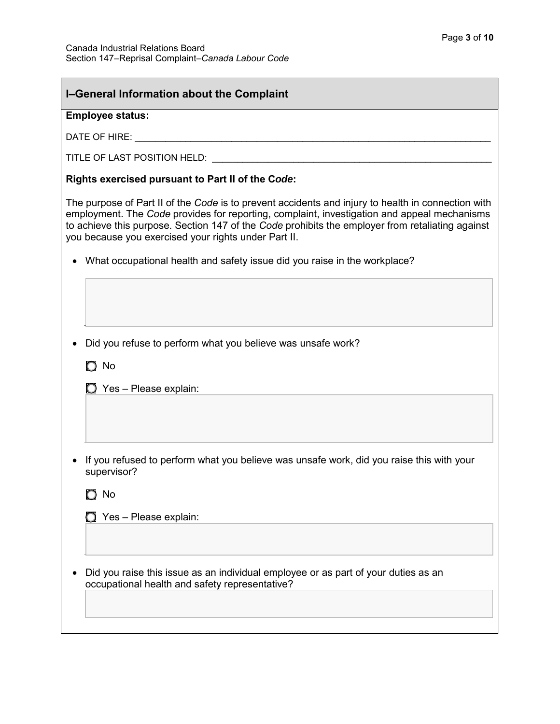| I-General Information about the Complaint                                                                                                                                                                                                                                                                                                                     |  |  |  |
|---------------------------------------------------------------------------------------------------------------------------------------------------------------------------------------------------------------------------------------------------------------------------------------------------------------------------------------------------------------|--|--|--|
| <b>Employee status:</b>                                                                                                                                                                                                                                                                                                                                       |  |  |  |
|                                                                                                                                                                                                                                                                                                                                                               |  |  |  |
|                                                                                                                                                                                                                                                                                                                                                               |  |  |  |
| Rights exercised pursuant to Part II of the Code:                                                                                                                                                                                                                                                                                                             |  |  |  |
| The purpose of Part II of the Code is to prevent accidents and injury to health in connection with<br>employment. The Code provides for reporting, complaint, investigation and appeal mechanisms<br>to achieve this purpose. Section 147 of the Code prohibits the employer from retaliating against<br>you because you exercised your rights under Part II. |  |  |  |
| What occupational health and safety issue did you raise in the workplace?                                                                                                                                                                                                                                                                                     |  |  |  |
|                                                                                                                                                                                                                                                                                                                                                               |  |  |  |
| Did you refuse to perform what you believe was unsafe work?                                                                                                                                                                                                                                                                                                   |  |  |  |
| $\bigcirc$ No                                                                                                                                                                                                                                                                                                                                                 |  |  |  |
| $\Box$ Yes - Please explain:                                                                                                                                                                                                                                                                                                                                  |  |  |  |
|                                                                                                                                                                                                                                                                                                                                                               |  |  |  |
| If you refused to perform what you believe was unsafe work, did you raise this with your<br>supervisor?                                                                                                                                                                                                                                                       |  |  |  |
| $\bigcirc$ No                                                                                                                                                                                                                                                                                                                                                 |  |  |  |
| $\bigcirc$ Yes - Please explain:                                                                                                                                                                                                                                                                                                                              |  |  |  |
|                                                                                                                                                                                                                                                                                                                                                               |  |  |  |
| Did you raise this issue as an individual employee or as part of your duties as an<br>occupational health and safety representative?                                                                                                                                                                                                                          |  |  |  |
|                                                                                                                                                                                                                                                                                                                                                               |  |  |  |
|                                                                                                                                                                                                                                                                                                                                                               |  |  |  |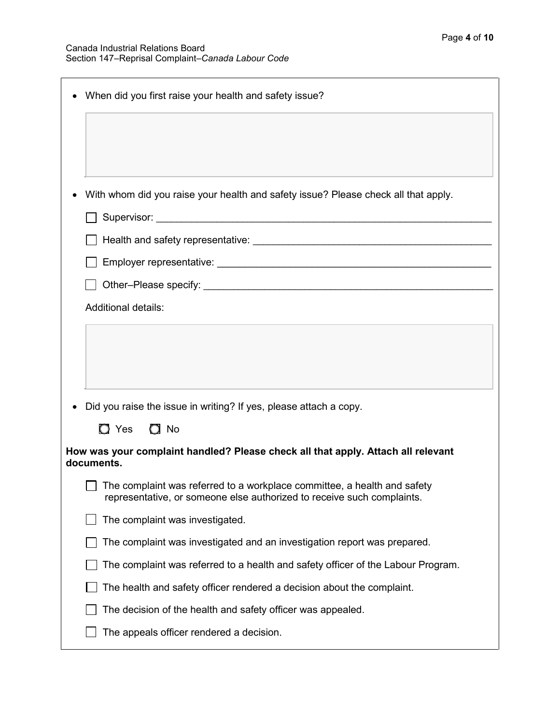| When did you first raise your health and safety issue?                                                                                               |
|------------------------------------------------------------------------------------------------------------------------------------------------------|
|                                                                                                                                                      |
|                                                                                                                                                      |
| With whom did you raise your health and safety issue? Please check all that apply.                                                                   |
|                                                                                                                                                      |
|                                                                                                                                                      |
|                                                                                                                                                      |
|                                                                                                                                                      |
| <b>Additional details:</b>                                                                                                                           |
|                                                                                                                                                      |
| Did you raise the issue in writing? If yes, please attach a copy.                                                                                    |
| $\bigcirc$ Yes $\bigcirc$ No                                                                                                                         |
| How was your complaint handled? Please check all that apply. Attach all relevant<br>documents.                                                       |
| □ The complaint was referred to a workplace committee, a health and safety<br>representative, or someone else authorized to receive such complaints. |
| The complaint was investigated.                                                                                                                      |
| The complaint was investigated and an investigation report was prepared.                                                                             |
| The complaint was referred to a health and safety officer of the Labour Program.                                                                     |
| The health and safety officer rendered a decision about the complaint.                                                                               |
| The decision of the health and safety officer was appealed.                                                                                          |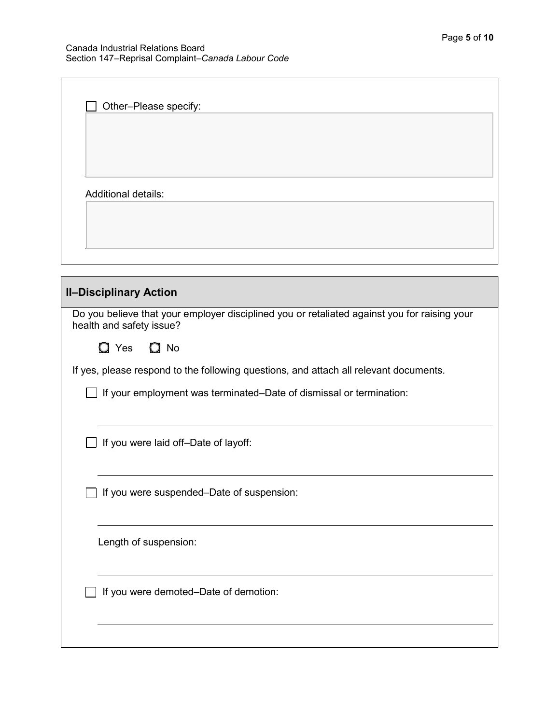If you were demoted–Date of demotion:

| Other-Please specify:                                                                                                    |
|--------------------------------------------------------------------------------------------------------------------------|
| <b>Additional details:</b>                                                                                               |
|                                                                                                                          |
|                                                                                                                          |
| <b>II-Disciplinary Action</b>                                                                                            |
| Do you believe that your employer disciplined you or retaliated against you for raising your<br>health and safety issue? |
| $\Omega$ No<br>$\Box$ Yes                                                                                                |
| If yes, please respond to the following questions, and attach all relevant documents.                                    |
| If your employment was terminated–Date of dismissal or termination:                                                      |
| If you were laid off-Date of layoff:                                                                                     |
| If you were suspended-Date of suspension:                                                                                |
| Length of suspension:                                                                                                    |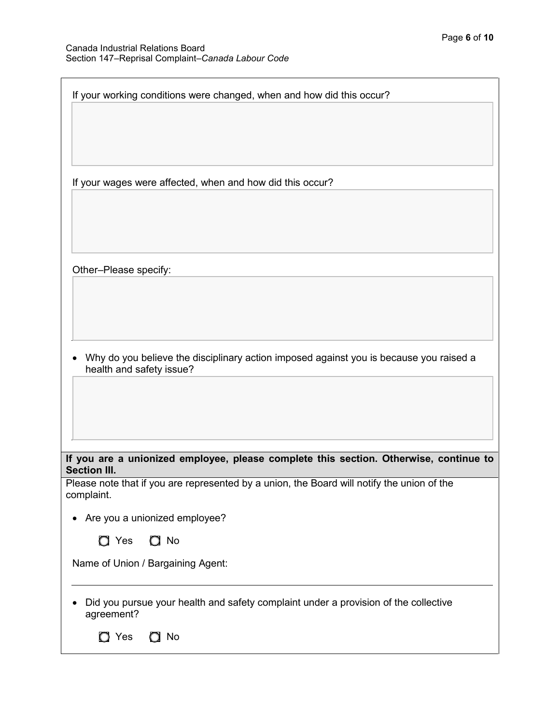| If your working conditions were changed, when and how did this occur?                                              |
|--------------------------------------------------------------------------------------------------------------------|
|                                                                                                                    |
|                                                                                                                    |
|                                                                                                                    |
|                                                                                                                    |
| If your wages were affected, when and how did this occur?                                                          |
|                                                                                                                    |
|                                                                                                                    |
|                                                                                                                    |
| Other-Please specify:                                                                                              |
|                                                                                                                    |
|                                                                                                                    |
|                                                                                                                    |
|                                                                                                                    |
| Why do you believe the disciplinary action imposed against you is because you raised a<br>health and safety issue? |
|                                                                                                                    |
|                                                                                                                    |
|                                                                                                                    |
|                                                                                                                    |
| If you are a unionized employee, please complete this section. Otherwise, continue to<br><b>Section III.</b>       |
| Please note that if you are represented by a union, the Board will notify the union of the                         |
| complaint.                                                                                                         |
| Are you a unionized employee?                                                                                      |
| $\Box$ No<br>$\Box$ Yes                                                                                            |
| Name of Union / Bargaining Agent:                                                                                  |
|                                                                                                                    |
| Did you pursue your health and safety complaint under a provision of the collective<br>agreement?                  |
| $\bigcirc$ Yes<br>$\Omega$ No                                                                                      |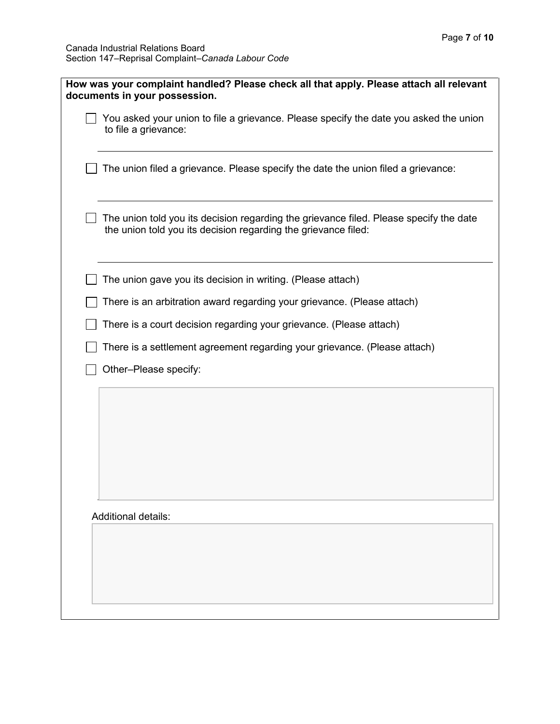| How was your complaint handled? Please check all that apply. Please attach all relevant                                                                  |
|----------------------------------------------------------------------------------------------------------------------------------------------------------|
| documents in your possession.                                                                                                                            |
|                                                                                                                                                          |
| You asked your union to file a grievance. Please specify the date you asked the union<br>to file a grievance:                                            |
| The union filed a grievance. Please specify the date the union filed a grievance:                                                                        |
| The union told you its decision regarding the grievance filed. Please specify the date<br>the union told you its decision regarding the grievance filed: |
| The union gave you its decision in writing. (Please attach)                                                                                              |
| There is an arbitration award regarding your grievance. (Please attach)                                                                                  |
| There is a court decision regarding your grievance. (Please attach)                                                                                      |
| There is a settlement agreement regarding your grievance. (Please attach)                                                                                |
| Other-Please specify:                                                                                                                                    |
|                                                                                                                                                          |
|                                                                                                                                                          |
|                                                                                                                                                          |
|                                                                                                                                                          |
| <b>Additional details:</b>                                                                                                                               |
|                                                                                                                                                          |
|                                                                                                                                                          |
|                                                                                                                                                          |
|                                                                                                                                                          |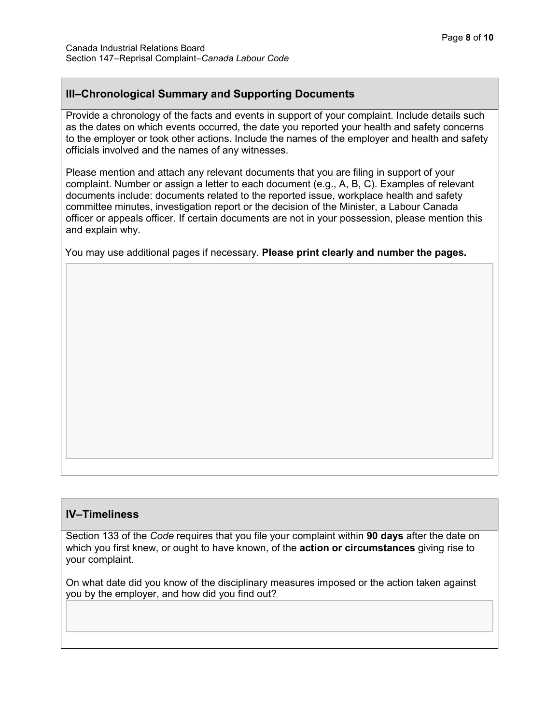### **III–Chronological Summary and Supporting Documents**

Provide a chronology of the facts and events in support of your complaint. Include details such as the dates on which events occurred, the date you reported your health and safety concerns to the employer or took other actions. Include the names of the employer and health and safety officials involved and the names of any witnesses.

Please mention and attach any relevant documents that you are filing in support of your complaint. Number or assign a letter to each document (e.g., A, B, C). Examples of relevant documents include: documents related to the reported issue, workplace health and safety committee minutes, investigation report or the decision of the Minister, a Labour Canada officer or appeals officer. If certain documents are not in your possession, please mention this and explain why.

You may use additional pages if necessary. **Please print clearly and number the pages.**

#### **IV–Timeliness**

Section 133 of the *Code* requires that you file your complaint within **90 days** after the date on which you first knew, or ought to have known, of the **action or circumstances** giving rise to your complaint.

On what date did you know of the disciplinary measures imposed or the action taken against you by the employer, and how did you find out?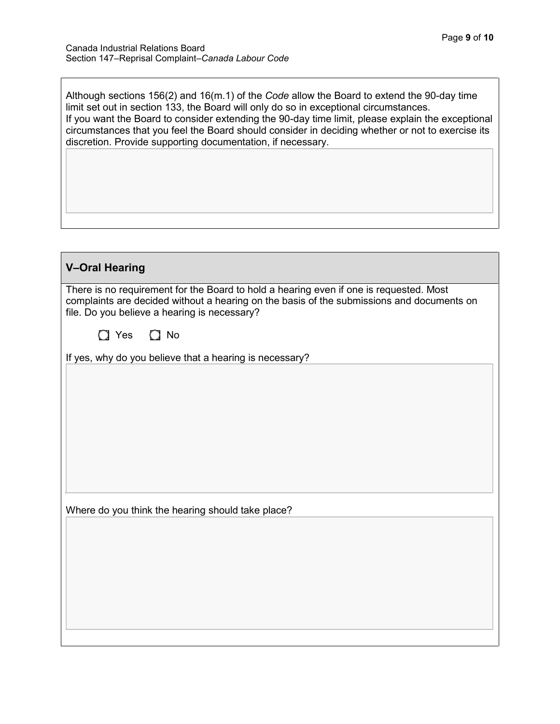| Although sections $156(2)$ and $16(m.1)$ of the Code allow the Board to extend the 90-day time<br>limit set out in section 133, the Board will only do so in exceptional circumstances.<br>If you want the Board to consider extending the 90-day time limit, please explain the exceptional<br>circumstances that you feel the Board should consider in deciding whether or not to exercise its<br>discretion. Provide supporting documentation, if necessary. |
|-----------------------------------------------------------------------------------------------------------------------------------------------------------------------------------------------------------------------------------------------------------------------------------------------------------------------------------------------------------------------------------------------------------------------------------------------------------------|
|                                                                                                                                                                                                                                                                                                                                                                                                                                                                 |

| <b>V-Oral Hearing</b>                                                                                                                                                                                                               |
|-------------------------------------------------------------------------------------------------------------------------------------------------------------------------------------------------------------------------------------|
| There is no requirement for the Board to hold a hearing even if one is requested. Most<br>complaints are decided without a hearing on the basis of the submissions and documents on<br>file. Do you believe a hearing is necessary? |
| $\Box$ Yes $\Box$ No                                                                                                                                                                                                                |
| If yes, why do you believe that a hearing is necessary?                                                                                                                                                                             |
|                                                                                                                                                                                                                                     |
|                                                                                                                                                                                                                                     |
|                                                                                                                                                                                                                                     |
|                                                                                                                                                                                                                                     |
|                                                                                                                                                                                                                                     |
|                                                                                                                                                                                                                                     |
| Where do you think the hearing should take place?                                                                                                                                                                                   |
|                                                                                                                                                                                                                                     |
|                                                                                                                                                                                                                                     |
|                                                                                                                                                                                                                                     |
|                                                                                                                                                                                                                                     |
|                                                                                                                                                                                                                                     |
|                                                                                                                                                                                                                                     |